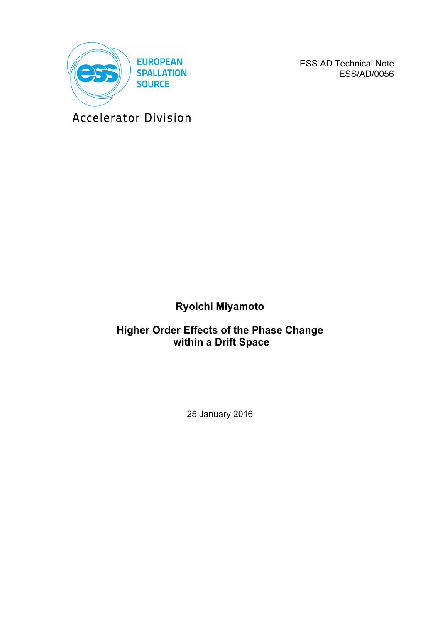

ESS AD Technical Note ESS/AD/0056

Accelerator Division

# **Ryoichi Miyamoto**

# **Higher Order Effects of the Phase Change within a Drift Space**

25 January 2016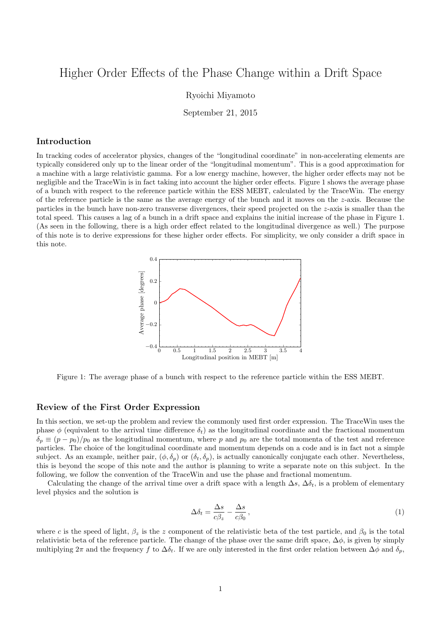# Higher Order Effects of the Phase Change within a Drift Space

Ryoichi Miyamoto

September 21, 2015

## Introduction

In tracking codes of accelerator physics, changes of the "longitudinal coordinate" in non-accelerating elements are typically considered only up to the linear order of the "longitudinal momentum". This is a good approximation for a machine with a large relativistic gamma. For a low energy machine, however, the higher order effects may not be negligible and the TraceWin is in fact taking into account the higher order effects. Figure 1 shows the average phase of a bunch with respect to the reference particle within the ESS MEBT, calculated by the TraceWin. The energy of the reference particle is the same as the average energy of the bunch and it moves on the *z*-axis. Because the particles in the bunch have non-zero transverse divergences, their speed projected on the *z*-axis is smaller than the total speed. This causes a lag of a bunch in a drift space and explains the initial increase of the phase in Figure 1. (As seen in the following, there is a high order effect related to the longitudinal divergence as well.) The purpose of this note is to derive expressions for these higher order effects. For simplicity, we only consider a drift space in this note.



Figure 1: The average phase of a bunch with respect to the reference particle within the ESS MEBT.

#### Review of the First Order Expression

In this section, we set-up the problem and review the commonly used first order expression. The TraceWin uses the phase  $\phi$  (equivalent to the arrival time difference  $\delta_t$ ) as the longitudinal coordinate and the fractional momentum  $\delta_p \equiv (p - p_0)/p_0$  as the longitudinal momentum, where *p* and  $p_0$  are the total momenta of the test and reference particles. The choice of the longitudinal coordinate and momentum depends on a code and is in fact not a simple subject. As an example, neither pair,  $(\phi, \delta_p)$  or  $(\delta_t, \delta_p)$ , is actually canonically conjugate each other. Nevertheless, this is beyond the scope of this note and the author is planning to write a separate note on this subject. In the following, we follow the convention of the TraceWin and use the phase and fractional momentum.

Calculating the change of the arrival time over a drift space with a length  $\Delta s$ ,  $\Delta \delta_t$ , is a problem of elementary level physics and the solution is

$$
\Delta \delta_t = \frac{\Delta s}{c\beta_z} - \frac{\Delta s}{c\beta_0},\tag{1}
$$

where *c* is the speed of light,  $\beta_z$  is the *z* component of the relativistic beta of the test particle, and  $\beta_0$  is the total relativistic beta of the reference particle. The change of the phase over the same drift space,  $\Delta\phi$ , is given by simply multiplying  $2\pi$  and the frequency f to  $\Delta \delta_t$ . If we are only interested in the first order relation between  $\Delta \phi$  and  $\delta_p$ ,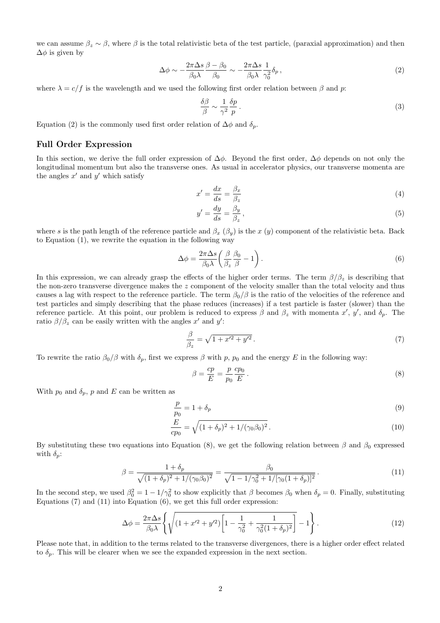we can assume  $\beta_z \sim \beta$ , where  $\beta$  is the total relativistic beta of the test particle, (paraxial approximation) and then  $\Delta\phi$  is given by

$$
\Delta \phi \sim -\frac{2\pi \Delta s}{\beta_0 \lambda} \frac{\beta - \beta_0}{\beta_0} \sim -\frac{2\pi \Delta s}{\beta_0 \lambda} \frac{1}{\gamma_0^2} \delta_p, \qquad (2)
$$

where  $\lambda = c/f$  is the wavelength and we used the following first order relation between  $\beta$  and  $p$ :

$$
\frac{\delta\beta}{\beta} \sim \frac{1}{\gamma^2} \frac{\delta p}{p} \,. \tag{3}
$$

Equation (2) is the commonly used first order relation of  $\Delta \phi$  and  $\delta_p$ .

### Full Order Expression

In this section, we derive the full order expression of  $\Delta\phi$ . Beyond the first order,  $\Delta\phi$  depends on not only the longitudinal momentum but also the transverse ones. As usual in accelerator physics, our transverse momenta are the angles  $x'$  and  $y'$  which satisfy

$$
x' = \frac{dx}{ds} = \frac{\beta_x}{\beta_z} \tag{4}
$$

$$
y' = \frac{dy}{ds} = \frac{\beta_y}{\beta_z},\tag{5}
$$

where *s* is the path length of the reference particle and  $\beta_x$  ( $\beta_y$ ) is the *x* (*y*) component of the relativistic beta. Back to Equation (1), we rewrite the equation in the following way

$$
\Delta \phi = \frac{2\pi \Delta s}{\beta_0 \lambda} \left( \frac{\beta}{\beta_z} \frac{\beta_0}{\beta} - 1 \right). \tag{6}
$$

In this expression, we can already grasp the effects of the higher order terms. The term  $\beta/\beta_z$  is describing that the non-zero transverse divergence makes the *z* component of the velocity smaller than the total velocity and thus causes a lag with respect to the reference particle. The term  $\beta_0/\beta$  is the ratio of the velocities of the reference and test particles and simply describing that the phase reduces (increases) if a test particle is faster (slower) than the reference particle. At this point, our problem is reduced to express  $\beta$  and  $\beta_z$  with momenta  $x'$ ,  $y'$ , and  $\delta_p$ . The ratio  $\beta/\beta_z$  can be easily written with the angles  $x'$  and  $y'$ :

$$
\frac{\beta}{\beta_z} = \sqrt{1 + x'^2 + y'^2} \,. \tag{7}
$$

To rewrite the ratio  $\beta_0/\beta$  with  $\delta_p$ , first we express  $\beta$  with p,  $p_0$  and the energy E in the following way:

$$
\beta = \frac{cp}{E} = \frac{p}{p_0} \frac{cp_0}{E} \,. \tag{8}
$$

With  $p_0$  and  $\delta_p$ ,  $p$  and  $E$  can be written as

$$
\frac{p}{p_0} = 1 + \delta_p \tag{9}
$$

$$
\frac{E}{cp_0} = \sqrt{(1+\delta_p)^2 + 1/(\gamma_0\beta_0)^2} \,. \tag{10}
$$

By substituting these two equations into Equation (8), we get the following relation between  $\beta$  and  $\beta_0$  expressed with  $\delta_p$ :

$$
\beta = \frac{1 + \delta_p}{\sqrt{(1 + \delta_p)^2 + 1/(\gamma_0 \beta_0)^2}} = \frac{\beta_0}{\sqrt{1 - 1/\gamma_0^2 + 1/[\gamma_0 (1 + \delta_p)]^2}}.
$$
\n(11)

In the second step, we used  $\beta_0^2 = 1 - 1/\gamma_0^2$  to show explicitly that  $\beta$  becomes  $\beta_0$  when  $\delta_p = 0$ . Finally, substituting Equations  $(7)$  and  $(11)$  into Equation  $(6)$ , we get this full order expression:

$$
\Delta \phi = \frac{2\pi \Delta s}{\beta_0 \lambda} \left\{ \sqrt{\left(1 + x'^2 + y'^2\right) \left[1 - \frac{1}{\gamma_0^2} + \frac{1}{\gamma_0^2 (1 + \delta_p)^2}\right]} - 1 \right\}.
$$
\n(12)

Please note that, in addition to the terms related to the transverse divergences, there is a higher order effect related to  $\delta_p$ . This will be clearer when we see the expanded expression in the next section.